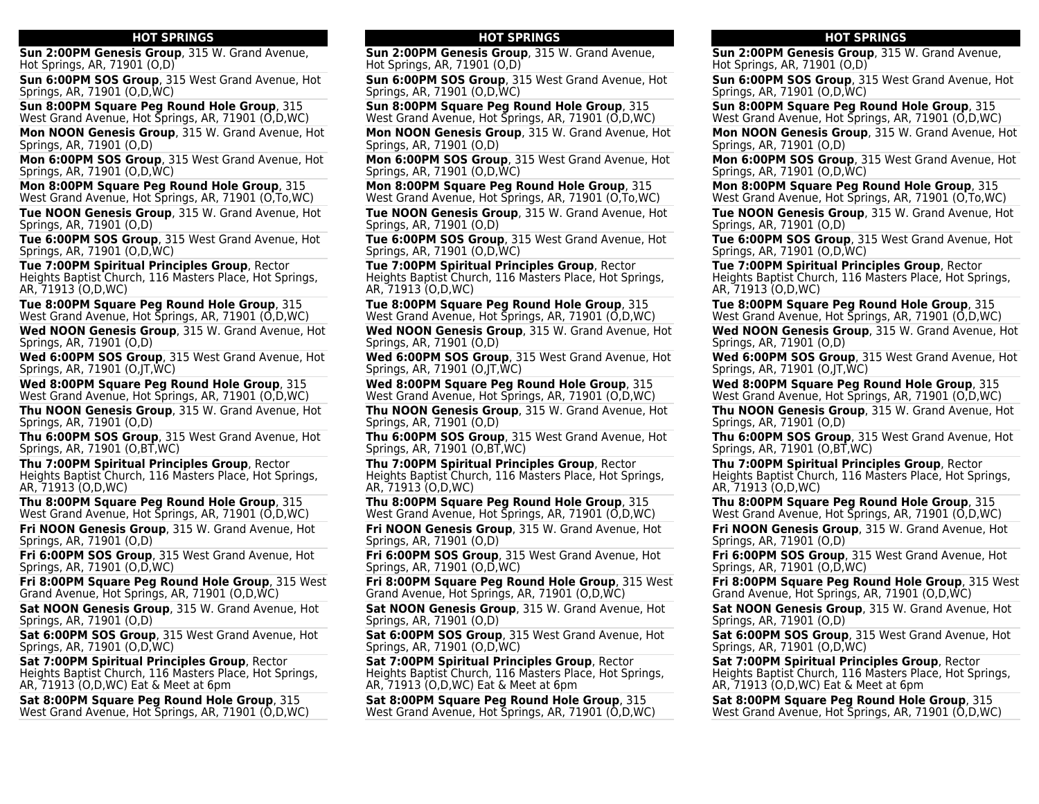### **HOT SPRINGS**

**Sun 2:00PM Genesis Group**, 315 W. Grand Avenue, Hot Springs, AR, 71901 (O,D)

**Sun 6:00PM SOS Group**, 315 West Grand Avenue, Hot Springs, AR, 71901 (O,D,WC)

**Sun 8:00PM Square Peg Round Hole Group**, 315 West Grand Avenue, Hot Springs, AR, 71901 (O,D,WC)

**Mon NOON Genesis Group**, 315 W. Grand Avenue, Hot Springs, AR, 71901 (O,D)

**Mon 6:00PM SOS Group**, 315 West Grand Avenue, Hot Springs, AR, 71901 (O,D,WC)

**Mon 8:00PM Square Peg Round Hole Group**, 315 West Grand Avenue, Hot Springs, AR, 71901 (O,To,WC) **Tue NOON Genesis Group**, 315 W. Grand Avenue, Hot Springs, AR, 71901 (O,D)

**Tue 6:00PM SOS Group**, 315 West Grand Avenue, Hot Springs, AR, 71901 (O,D,WC)

**Tue 7:00PM Spiritual Principles Group**, Rector Heights Baptist Church, 116 Masters Place, Hot Springs, AR, 71913 (O,D,WC)

**Tue 8:00PM Square Peg Round Hole Group**, 315 West Grand Avenue, Hot Springs, AR, 71901 (O,D,WC)

**Wed NOON Genesis Group**, 315 W. Grand Avenue, Hot Springs, AR, 71901 (O,D)

**Wed 6:00PM SOS Group**, 315 West Grand Avenue, Hot Springs, AR, 71901 (O,JT,WC)

**Wed 8:00PM Square Peg Round Hole Group**, 315 West Grand Avenue, Hot Springs, AR, 71901 (O,D,WC)

**Thu NOON Genesis Group**, 315 W. Grand Avenue, Hot Springs, AR, 71901 (O,D)

**Thu 6:00PM SOS Group**, 315 West Grand Avenue, Hot Springs, AR, 71901 (O,BT,WC)

**Thu 7:00PM Spiritual Principles Group**, Rector Heights Baptist Church, 116 Masters Place, Hot Springs, AR, 71913 (O,D,WC)

**Thu 8:00PM Square Peg Round Hole Group**, 315 West Grand Avenue, Hot Springs, AR, 71901 (O,D,WC)

**Fri NOON Genesis Group**, 315 W. Grand Avenue, Hot Springs, AR, 71901 (O,D)

**Fri 6:00PM SOS Group**, 315 West Grand Avenue, Hot Springs, AR, 71901 (O,D,WC)

**Fri 8:00PM Square Peg Round Hole Group**, 315 West Grand Avenue, Hot Springs, AR, 71901 (O,D,WC)

**Sat NOON Genesis Group**, 315 W. Grand Avenue, Hot Springs, AR, 71901 (O,D)

**Sat 6:00PM SOS Group**, 315 West Grand Avenue, Hot Springs, AR, 71901 (O,D,WC)

**Sat 7:00PM Spiritual Principles Group**, Rector Heights Baptist Church, 116 Masters Place, Hot Springs, AR, 71913 (O,D,WC) Eat & Meet at 6pm

**Sat 8:00PM Square Peg Round Hole Group**, 315 West Grand Avenue, Hot Springs, AR, 71901 (O,D,WC)

### **HOT SPRINGS**

**Sun 2:00PM Genesis Group**, 315 W. Grand Avenue, Hot Springs, AR, 71901 (O,D)

**Sun 6:00PM SOS Group**, 315 West Grand Avenue, Hot Springs, AR, 71901 (O,D,WC)

**Sun 8:00PM Square Peg Round Hole Group**, 315 West Grand Avenue, Hot Springs, AR, 71901 (O,D,WC)

**Mon NOON Genesis Group**, 315 W. Grand Avenue, Hot Springs, AR, 71901 (O,D)

**Mon 6:00PM SOS Group**, 315 West Grand Avenue, Hot Springs, AR, 71901 (O,D,WC)

**Mon 8:00PM Square Peg Round Hole Group**, 315 West Grand Avenue, Hot Springs, AR, 71901 (O,To,WC) **Tue NOON Genesis Group**, 315 W. Grand Avenue, Hot

Springs, AR, 71901 (O,D)

**Tue 6:00PM SOS Group**, 315 West Grand Avenue, Hot Springs, AR, 71901 (O,D,WC)

**Tue 7:00PM Spiritual Principles Group**, Rector Heights Baptist Church, 116 Masters Place, Hot Springs, AR, 71913 (O,D,WC)

**Tue 8:00PM Square Peg Round Hole Group**, 315 West Grand Avenue, Hot Springs, AR, 71901 (O,D,WC)

**Wed NOON Genesis Group**, 315 W. Grand Avenue, Hot Springs, AR, 71901 (O,D)

**Wed 6:00PM SOS Group**, 315 West Grand Avenue, Hot Springs, AR, 71901 (O,JT,WC)

**Wed 8:00PM Square Peg Round Hole Group**, 315 West Grand Avenue, Hot Springs, AR, 71901 (O,D,WC)

**Thu NOON Genesis Group**, 315 W. Grand Avenue, Hot Springs, AR, 71901 (O,D)

**Thu 6:00PM SOS Group**, 315 West Grand Avenue, Hot Springs, AR, 71901 (O,BT,WC)

**Thu 7:00PM Spiritual Principles Group**, Rector Heights Baptist Church, 116 Masters Place, Hot Springs, AR, 71913 (O,D,WC)

**Thu 8:00PM Square Peg Round Hole Group**, 315 West Grand Avenue, Hot Springs, AR, 71901 (O,D,WC)

**Fri NOON Genesis Group**, 315 W. Grand Avenue, Hot Springs, AR, 71901 (O,D)

**Fri 6:00PM SOS Group**, 315 West Grand Avenue, Hot Springs, AR, 71901 (O,D,WC)

**Fri 8:00PM Square Peg Round Hole Group**, 315 West Grand Avenue, Hot Springs, AR, 71901 (O,D,WC)

**Sat NOON Genesis Group**, 315 W. Grand Avenue, Hot Springs, AR, 71901 (O,D)

**Sat 6:00PM SOS Group**, 315 West Grand Avenue, Hot Springs, AR, 71901 (O,D,WC)

**Sat 7:00PM Spiritual Principles Group**, Rector Heights Baptist Church, 116 Masters Place, Hot Springs, AR, 71913 (O,D,WC) Eat & Meet at 6pm

**Sat 8:00PM Square Peg Round Hole Group**, 315 West Grand Avenue, Hot Springs, AR, 71901 (O,D,WC)

#### **HOT SPRINGS**

**Sun 2:00PM Genesis Group**, 315 W. Grand Avenue, Hot Springs, AR, 71901 (O,D)

**Sun 6:00PM SOS Group**, 315 West Grand Avenue, Hot Springs, AR, 71901 (O,D,WC)

**Sun 8:00PM Square Peg Round Hole Group**, 315 West Grand Avenue, Hot Springs, AR, 71901 (O,D,WC)

**Mon NOON Genesis Group**, 315 W. Grand Avenue, Hot Springs, AR, 71901 (O,D)

**Mon 6:00PM SOS Group**, 315 West Grand Avenue, Hot Springs, AR, 71901 (O,D,WC)

**Mon 8:00PM Square Peg Round Hole Group**, 315 West Grand Avenue, Hot Springs, AR, 71901 (O,To,WC) **Tue NOON Genesis Group**, 315 W. Grand Avenue, Hot

Springs, AR, 71901 (O,D)

**Tue 6:00PM SOS Group**, 315 West Grand Avenue, Hot Springs, AR, 71901 (O,D,WC)

**Tue 7:00PM Spiritual Principles Group**, Rector Heights Baptist Church, 116 Masters Place, Hot Springs, AR, 71913 (O,D,WC)

**Tue 8:00PM Square Peg Round Hole Group**, 315 West Grand Avenue, Hot Springs, AR, 71901 (O,D,WC)

**Wed NOON Genesis Group**, 315 W. Grand Avenue, Hot Springs, AR, 71901 (O,D)

**Wed 6:00PM SOS Group**, 315 West Grand Avenue, Hot Springs, AR, 71901 (O,JT,WC)

**Wed 8:00PM Square Peg Round Hole Group**, 315 West Grand Avenue, Hot Springs, AR, 71901 (O,D,WC)

**Thu NOON Genesis Group**, 315 W. Grand Avenue, Hot Springs, AR, 71901 (O,D)

**Thu 6:00PM SOS Group**, 315 West Grand Avenue, Hot Springs, AR, 71901 (O,BT,WC)

**Thu 7:00PM Spiritual Principles Group**, Rector Heights Baptist Church, 116 Masters Place, Hot Springs, AR, 71913 (O,D,WC)

**Thu 8:00PM Square Peg Round Hole Group**, 315 West Grand Avenue, Hot Springs, AR, 71901 (O,D,WC)

**Fri NOON Genesis Group**, 315 W. Grand Avenue, Hot Springs, AR, 71901 (O,D)

**Fri 6:00PM SOS Group**, 315 West Grand Avenue, Hot Springs, AR, 71901 (O,D,WC)

**Fri 8:00PM Square Peg Round Hole Group**, 315 West Grand Avenue, Hot Springs, AR, 71901 (O,D,WC)

**Sat NOON Genesis Group**, 315 W. Grand Avenue, Hot Springs, AR, 71901 (O,D)

**Sat 6:00PM SOS Group**, 315 West Grand Avenue, Hot Springs, AR, 71901 (O,D,WC)

**Sat 7:00PM Spiritual Principles Group**, Rector Heights Baptist Church, 116 Masters Place, Hot Springs, AR, 71913 (O,D,WC) Eat & Meet at 6pm

**Sat 8:00PM Square Peg Round Hole Group**, 315 West Grand Avenue, Hot Springs, AR, 71901 (O,D,WC)